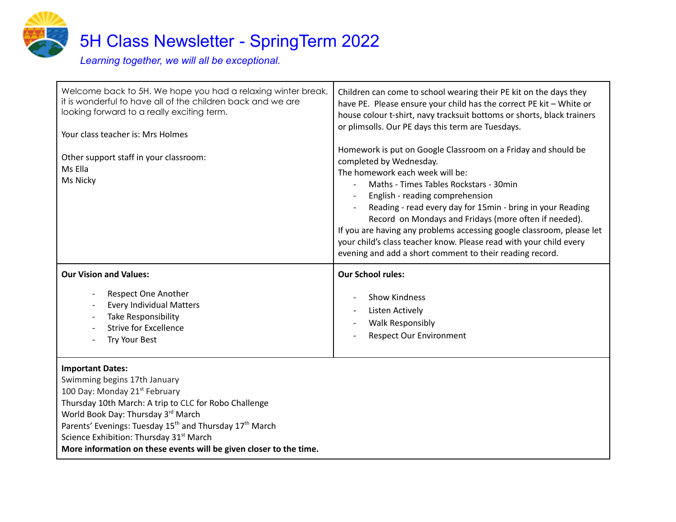

Welcome back to 5H. We hope you had a relaxing winter break, it is wonderful to have all of the children back and we are looking forward to a really exciting term. Your class teacher is: Mrs Holmes Other support staff in your classroom: Ms Ella Ms Nicky Children can come to school wearing their PE kit on the days they have PE. Please ensure your child has the correct PE kit – White or house colour t-shirt, navy tracksuit bottoms or shorts, black trainers or plimsolls. Our PE days this term are Tuesdays. Homework is put on Google Classroom on a Friday and should be completed by Wednesday. The homework each week will be: - Maths - Times Tables Rockstars - 30min - English - reading comprehension - Reading - read every day for 15min - bring in your Reading Record on Mondays and Fridays (more often if needed). If you are having any problems accessing google classroom, please let your child's class teacher know. Please read with your child every evening and add a short comment to their reading record. **Our Vision and Values:** Respect One Another Every Individual Matters Take Responsibility Strive for Excellence Try Your Best **Our School rules:** - Show Kindness Listen Actively - Walk Responsibly Respect Our Environment **Important Dates:** Swimming begins 17th January 100 Day: Monday 21<sup>st</sup> February Thursday 10th March: A trip to CLC for Robo Challenge

World Book Day: Thursday 3<sup>rd</sup> March

Parents' Evenings: Tuesday 15<sup>th</sup> and Thursday 17<sup>th</sup> March

Science Exhibition: Thursday 31<sup>st</sup> March

**More information on these events will be given closer to the time.**